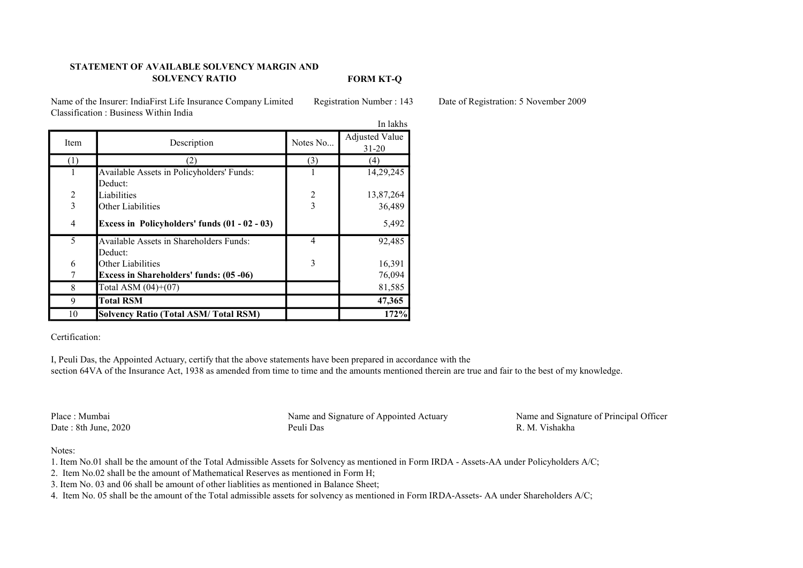## STATEMENT OF AVAILABLE SOLVENCY MARGIN AND SOLVENCY RATIO

FORM KT-Q

Name of the Insurer: IndiaFirst Life Insurance Company Limited Registration Number : 143 Date of Registration: 5 November 2009 Classification : Business Within India

|                |                                                |                | In lakhs       |
|----------------|------------------------------------------------|----------------|----------------|
| Item           | Description                                    | Notes No       | Adjusted Value |
|                |                                                |                | $31 - 20$      |
| (1)            | (2)                                            | (3)            | (4)            |
| л.             | Available Assets in Policyholders' Funds:      |                | 14,29,245      |
|                | Deduct:                                        |                |                |
| $\sqrt{2}$     | Liabilities                                    | 2              | 13,87,264      |
| $\overline{3}$ | Other Liabilities                              | 3              | 36,489         |
| 4              | Excess in Policyholders' funds (01 - 02 - 03)  |                | 5,492          |
| 5              | Available Assets in Shareholders Funds:        | $\overline{4}$ | 92,485         |
|                | Deduct:                                        |                |                |
| 6              | Other Liabilities                              | 3              | 16,391         |
|                | <b>Excess in Shareholders' funds: (05 -06)</b> |                | 76,094         |
| 8              | Total ASM $(04)+(07)$                          |                | 81,585         |
| 9              | <b>Total RSM</b>                               |                | 47,365         |
| 10             | <b>Solvency Ratio (Total ASM/Total RSM)</b>    |                | 172%           |

## Certification:

I, Peuli Das, the Appointed Actuary, certify that the above statements have been prepared in accordance with the section 64VA of the Insurance Act, 1938 as amended from time to time and the amounts mentioned therein are true and fair to the best of my knowledge.

Date :  $8th$  June,  $2020$ 

Place : Mumbai Name and Signature of Appointed Actuary Name and Signature of Principal Officer<br>Date : 8th June. 2020 Peuli Das R. M. Vishakha

## Notes:

- 1. Item No.01 shall be the amount of the Total Admissible Assets for Solvency as mentioned in Form IRDA Assets-AA under Policyholders A/C;
- 2. Item No.02 shall be the amount of Mathematical Reserves as mentioned in Form H;
- 3. Item No. 03 and 06 shall be amount of other liablities as mentioned in Balance Sheet;
- 4. Item No. 05 shall be the amount of the Total admissible assets for solvency as mentioned in Form IRDA-Assets- AA under Shareholders A/C;